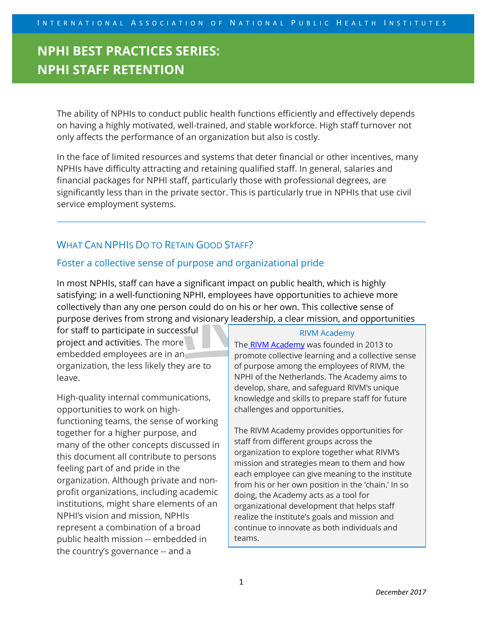The ability of NPHIs to conduct public health functions efficiently and effectively depends on having a highly motivated, well-trained, and stable workforce. High staff turnover not only affects the performance of an organization but also is costly.

In the face of limited resources and systems that deter financial or other incentives, many NPHIs have difficulty attracting and retaining qualified staff. In general, salaries and financial packages for NPHI staff, particularly those with professional degrees, are significantly less than in the private sector. This is particularly true in NPHIs that use civil service employment systems.

## WHAT CAN NPHIS DO TO RETAIN GOOD STAFF?

### Foster a collective sense of purpose and organizational pride

In most NPHIs, staff can have a significant impact on public health, which is highly satisfying; in a well-functioning NPHI, employees have opportunities to achieve more collectively than any one person could do on his or her own. This collective sense of purpose derives from strong and visionary leadership, a clear mission, and opportunities

for staff to participate in successful project and activities. The more embedded employees are in an organization, the less likely they are to leave.

High-quality internal communications, opportunities to work on highfunctioning teams, the sense of working together for a higher purpose, and many of the other concepts discussed in this document all contribute to persons feeling part of and pride in the organization. Although private and nonprofit organizations, including academic institutions, might share elements of an NPHI's vision and mission, NPHIs represent a combination of a broad public health mission -- embedded in the country's governance -- and a

#### RIVM Academy

The RIVM Academy was founded in 2013 to promote collective learning and a collective sense of purpose among the employees of RIVM, the NPHI of the Netherlands. The Academy aims to develop, share, and safeguard RIVM's unique knowledge and skills to prepare staff for future challenges and opportunities.

The RIVM Academy provides opportunities for staff from different groups across the organization to explore together what RIVM's mission and strategies mean to them and how each employee can give meaning to the institute from his or her own position in the 'chain.' In so doing, the Academy acts as a tool for organizational development that helps staff realize the institute's goals and mission and continue to innovate as both individuals and teams.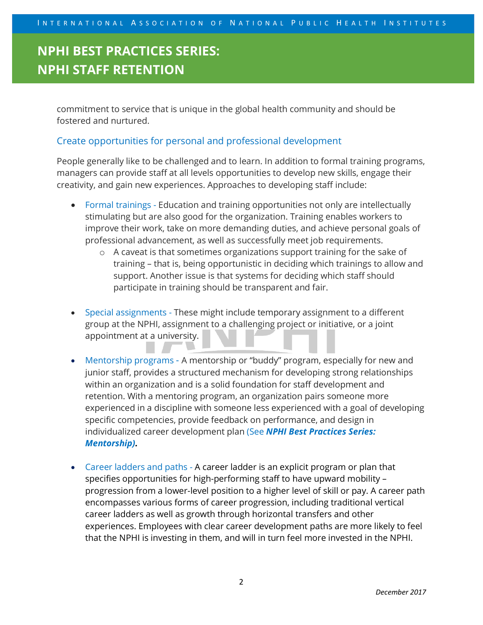commitment to service that is unique in the global health community and should be fostered and nurtured.

### Create opportunities for personal and professional development

People generally like to be challenged and to learn. In addition to formal training programs, managers can provide staff at all levels opportunities to develop new skills, engage their creativity, and gain new experiences. Approaches to developing staff include:

- Formal trainings Education and training opportunities not only are intellectually stimulating but are also good for the organization. Training enables workers to improve their work, take on more demanding duties, and achieve personal goals of professional advancement, as well as successfully meet job requirements.
	- o A caveat is that sometimes organizations support training for the sake of training – that is, being opportunistic in deciding which trainings to allow and support. Another issue is that systems for deciding which staff should participate in training should be transparent and fair.
- Special assignments These might include temporary assignment to a different group at the NPHI, assignment to a challenging project or initiative, or a joint appointment at a university.
- Mentorship programs A mentorship or "buddy" program, especially for new and junior staff, provides a structured mechanism for developing strong relationships within an organization and is a solid foundation for staff development and retention. With a mentoring program, an organization pairs someone more experienced in a discipline with someone less experienced with a goal of developing specific competencies, provide feedback on performance, and design in individualized career development plan (See *NPHI Best Practices Series: Mentorship).*
- Career ladders and paths A career ladder is an explicit program or plan that specifies opportunities for high-performing staff to have upward mobility – progression from a lower-level position to a higher level of skill or pay. A career path encompasses various forms of career progression, including traditional vertical career ladders as well as growth through horizontal transfers and other experiences. Employees with clear career development paths are more likely to feel that the NPHI is investing in them, and will in turn feel more invested in the NPHI.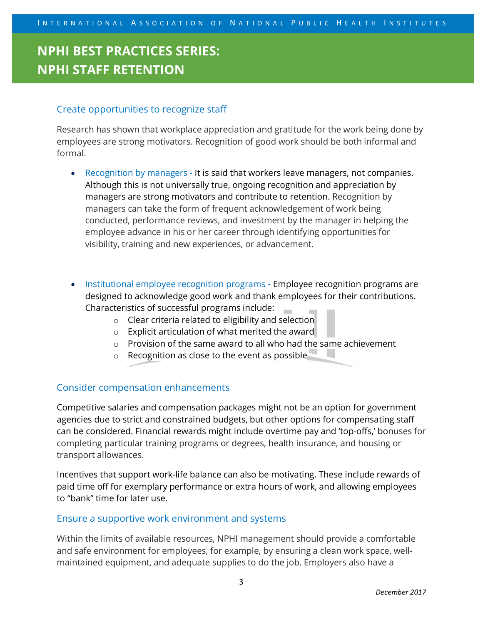### Create opportunities to recognize staff

Research has shown that workplace appreciation and gratitude for the work being done by employees are strong motivators. Recognition of good work should be both informal and formal.

- Recognition by managers It is said that workers leave managers, not companies. Although this is not universally true, ongoing recognition and appreciation by managers are strong motivators and contribute to retention. Recognition by managers can take the form of frequent acknowledgement of work being conducted, performance reviews, and investment by the manager in helping the employee advance in his or her career through identifying opportunities for visibility, training and new experiences, or advancement.
- Institutional employee recognition programs Employee recognition programs are designed to acknowledge good work and thank employees for their contributions. Characteristics of successful programs include:
	- o Clear criteria related to eligibility and selection
	- o Explicit articulation of what merited the award
	- o Provision of the same award to all who had the same achievement
	- o Recognition as close to the event as possible

### Consider compensation enhancements

Competitive salaries and compensation packages might not be an option for government agencies due to strict and constrained budgets, but other options for compensating staff can be considered. Financial rewards might include overtime pay and 'top-offs,' bonuses for completing particular training programs or degrees, health insurance, and housing or transport allowances.

Incentives that support work-life balance can also be motivating. These include rewards of paid time off for exemplary performance or extra hours of work, and allowing employees to "bank" time for later use.

#### Ensure a supportive work environment and systems

Within the limits of available resources, NPHI management should provide a comfortable and safe environment for employees, for example, by ensuring a clean work space, wellmaintained equipment, and adequate supplies to do the job. Employers also have a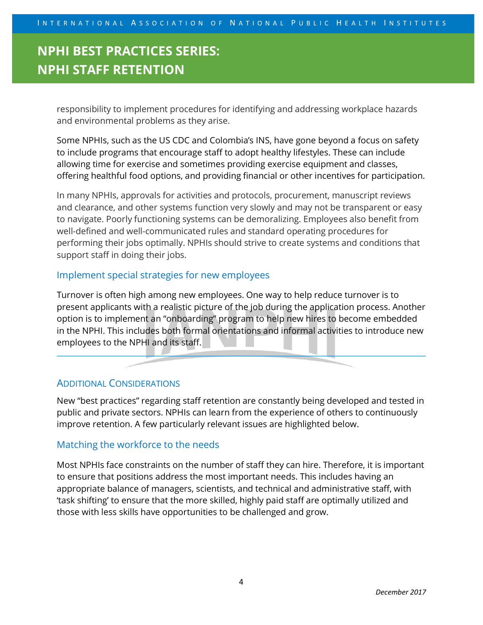responsibility to implement procedures for identifying and addressing workplace hazards and environmental problems as they arise.

Some NPHIs, such as the US CDC and Colombia's INS, have gone beyond a focus on safety to include programs that encourage staff to adopt healthy lifestyles. These can include allowing time for exercise and sometimes providing exercise equipment and classes, offering healthful food options, and providing financial or other incentives for participation.

In many NPHIs, approvals for activities and protocols, procurement, manuscript reviews and clearance, and other systems function very slowly and may not be transparent or easy to navigate. Poorly functioning systems can be demoralizing. Employees also benefit from well-defined and well-communicated rules and standard operating procedures for performing their jobs optimally. NPHIs should strive to create systems and conditions that support staff in doing their jobs.

#### Implement special strategies for new employees

Turnover is often high among new employees. One way to help reduce turnover is to present applicants with a realistic picture of the job during the application process. Another option is to implement an "onboarding" program to help new hires to become embedded in the NPHI. This includes both formal orientations and informal activities to introduce new employees to the NPHI and its staff.

#### ADDITIONAL CONSIDERATIONS

New "best practices" regarding staff retention are constantly being developed and tested in public and private sectors. NPHIs can learn from the experience of others to continuously improve retention. A few particularly relevant issues are highlighted below.

#### Matching the workforce to the needs

Most NPHIs face constraints on the number of staff they can hire. Therefore, it is important to ensure that positions address the most important needs. This includes having an appropriate balance of managers, scientists, and technical and administrative staff, with 'task shifting' to ensure that the more skilled, highly paid staff are optimally utilized and those with less skills have opportunities to be challenged and grow.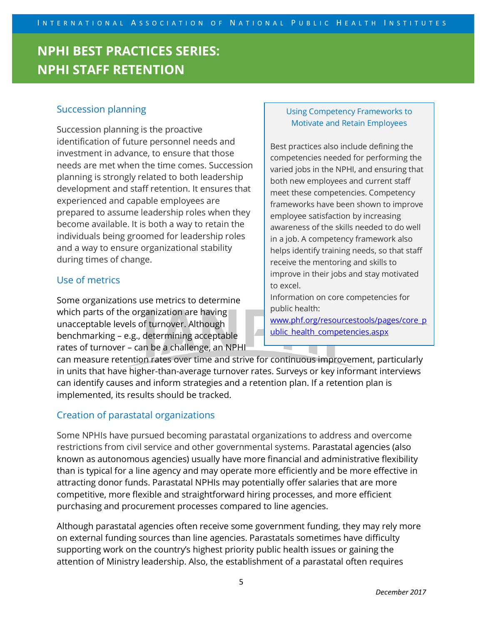### Succession planning

Succession planning is the proactive identification of future personnel needs and investment in advance, to ensure that those needs are met when the time comes. Succession planning is strongly related to both leadership development and staff retention. It ensures that experienced and capable employees are prepared to assume leadership roles when they become available. It is both a way to retain the individuals being groomed for leadership roles and a way to ensure organizational stability during times of change.

### Use of metrics

Some organizations use metrics to determine which parts of the organization are having unacceptable levels of turnover. Although benchmarking – e.g., determining acceptable rates of turnover – can be a challenge, an NPHI

#### Using Competency Frameworks to Motivate and Retain Employees

Best practices also include defining the competencies needed for performing the varied jobs in the NPHI, and ensuring that both new employees and current staff meet these competencies. Competency frameworks have been shown to improve employee satisfaction by increasing awareness of the skills needed to do well in a job. A competency framework also helps identify training needs, so that staff receive the mentoring and skills to improve in their jobs and stay motivated to excel.

Information on core competencies for public health:

www.phf.org/resourcestools/pages/core\_p ublic health competencies.aspx

can measure retention rates over time and strive for continuous improvement, particularly in units that have higher-than-average turnover rates. Surveys or key informant interviews can identify causes and inform strategies and a retention plan. If a retention plan is implemented, its results should be tracked.

## Creation of parastatal organizations

Some NPHIs have pursued becoming parastatal organizations to address and overcome restrictions from civil service and other governmental systems. Parastatal agencies (also known as autonomous agencies) usually have more financial and administrative flexibility than is typical for a line agency and may operate more efficiently and be more effective in attracting donor funds. Parastatal NPHIs may potentially offer salaries that are more competitive, more flexible and straightforward hiring processes, and more efficient purchasing and procurement processes compared to line agencies.

Although parastatal agencies often receive some government funding, they may rely more on external funding sources than line agencies. Parastatals sometimes have difficulty supporting work on the country's highest priority public health issues or gaining the attention of Ministry leadership. Also, the establishment of a parastatal often requires